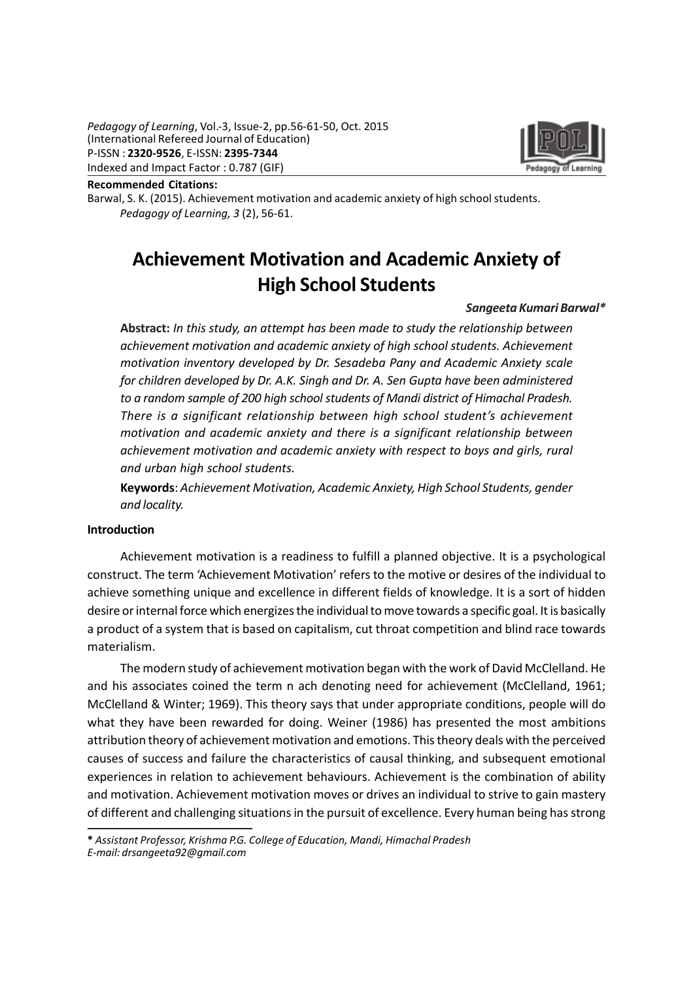

Recommended Citations:

Barwal, S. K. (2015). Achievement motivation and academic anxiety of high school students. Pedagogy of Learning, 3 (2), 56-61.

# Achievement Motivation and Academic Anxiety of High School Students

#### Sangeeta Kumari Barwal\*

Abstract: In this study, an attempt has been made to study the relationship between achievement motivation and academic anxiety of high school students. Achievement motivation inventory developed by Dr. Sesadeba Pany and Academic Anxiety scale for children developed by Dr. A.K. Singh and Dr. A. Sen Gupta have been administered to a random sample of 200 high school students of Mandi district of Himachal Pradesh. There is a significant relationship between high school student's achievement motivation and academic anxiety and there is a significant relationship between achievement motivation and academic anxiety with respect to boys and girls, rural and urban high school students.

Keywords: Achievement Motivation, Academic Anxiety, High School Students, gender and locality.

#### Introduction

Achievement motivation is a readiness to fulfill a planned objective. It is a psychological construct. The term 'Achievement Motivation' refers to the motive or desires of the individual to achieve something unique and excellence in different fields of knowledge. It is a sort of hidden desire or internal force which energizes the individual to move towards a specific goal. It is basically a product of a system that is based on capitalism, cut throat competition and blind race towards materialism.

The modern study of achievement motivation began with the work of David McClelland. He and his associates coined the term n ach denoting need for achievement (McClelland, 1961; McClelland & Winter; 1969). This theory says that under appropriate conditions, people will do what they have been rewarded for doing. Weiner (1986) has presented the most ambitions attribution theory of achievement motivation and emotions. This theory deals with the perceived causes of success and failure the characteristics of causal thinking, and subsequent emotional experiences in relation to achievement behaviours. Achievement is the combination of ability and motivation. Achievement motivation moves or drives an individual to strive to gain mastery of different and challenging situations in the pursuit of excellence. Every human being has strong

\* Assistant Professor, Krishma P.G. College of Education, Mandi, Himachal Pradesh E-mail: drsangeeta92@gmail.com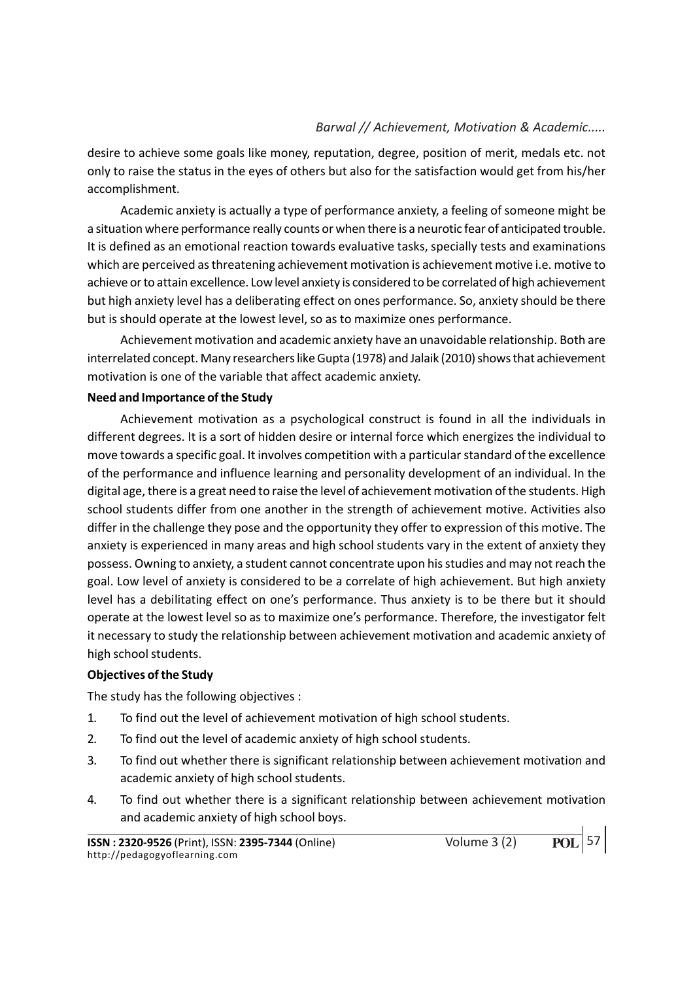desire to achieve some goals like money, reputation, degree, position of merit, medals etc. not only to raise the status in the eyes of others but also for the satisfaction would get from his/her accomplishment.

Academic anxiety is actually a type of performance anxiety, a feeling of someone might be a situation where performance really counts or when there is a neurotic fear of anticipated trouble. It is defined as an emotional reaction towards evaluative tasks, specially tests and examinations which are perceived as threatening achievement motivation is achievement motive i.e. motive to achieve or to attain excellence. Low level anxiety is considered to be correlated of high achievement but high anxiety level has a deliberating effect on ones performance. So, anxiety should be there but is should operate at the lowest level, so as to maximize ones performance.

Achievement motivation and academic anxiety have an unavoidable relationship. Both are interrelated concept. Many researchers like Gupta (1978) and Jalaik (2010) shows that achievement motivation is one of the variable that affect academic anxiety.

#### Need and Importance of the Study

Achievement motivation as a psychological construct is found in all the individuals in different degrees. It is a sort of hidden desire or internal force which energizes the individual to move towards a specific goal. It involves competition with a particular standard of the excellence of the performance and influence learning and personality development of an individual. In the digital age, there is a great need to raise the level of achievement motivation of the students. High school students differ from one another in the strength of achievement motive. Activities also differ in the challenge they pose and the opportunity they offer to expression of this motive. The anxiety is experienced in many areas and high school students vary in the extent of anxiety they possess. Owning to anxiety, a student cannot concentrate upon his studies and may not reach the goal. Low level of anxiety is considered to be a correlate of high achievement. But high anxiety level has a debilitating effect on one's performance. Thus anxiety is to be there but it should operate at the lowest level so as to maximize one's performance. Therefore, the investigator felt it necessary to study the relationship between achievement motivation and academic anxiety of high school students.

#### Objectives of the Study

The study has the following objectives :

- 1. To find out the level of achievement motivation of high school students.
- 2. To find out the level of academic anxiety of high school students.
- 3. To find out whether there is significant relationship between achievement motivation and academic anxiety of high school students.
- 4. To find out whether there is a significant relationship between achievement motivation and academic anxiety of high school boys.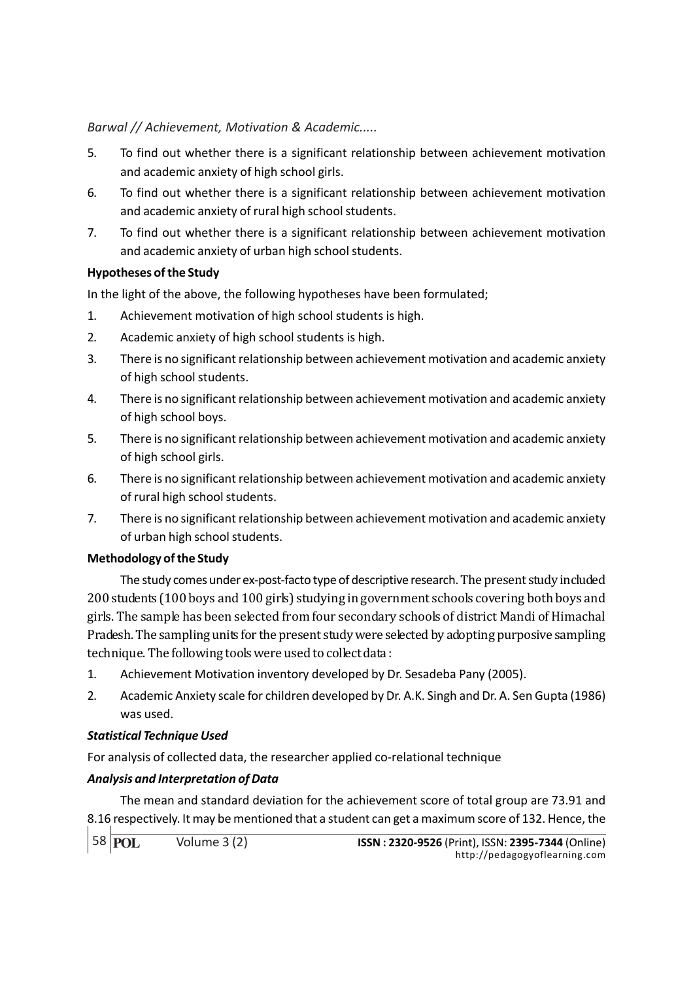- 5. To find out whether there is a significant relationship between achievement motivation and academic anxiety of high school girls.
- 6. To find out whether there is a significant relationship between achievement motivation and academic anxiety of rural high school students.
- 7. To find out whether there is a significant relationship between achievement motivation and academic anxiety of urban high school students.

# Hypotheses of the Study

In the light of the above, the following hypotheses have been formulated;

- 1. Achievement motivation of high school students is high.
- 2. Academic anxiety of high school students is high.
- 3. There is no significant relationship between achievement motivation and academic anxiety of high school students.
- 4. There is no significant relationship between achievement motivation and academic anxiety of high school boys.
- 5. There is no significant relationship between achievement motivation and academic anxiety of high school girls.
- 6. There is no significant relationship between achievement motivation and academic anxiety of rural high school students.
- 7. There is no significant relationship between achievement motivation and academic anxiety of urban high school students.

## Methodology of the Study

The study comes under ex-post-facto type of descriptive research. The present study included 200 students (100 boys and 100 girls) studying in government schools covering both boys and girls. The sample has been selected from four secondary schools of district Mandi of Himachal Pradesh. The sampling units for the present study were selected by adopting purposive sampling technique. The following tools were used to collect data :

- 1. Achievement Motivation inventory developed by Dr. Sesadeba Pany (2005).
- 2. Academic Anxiety scale for children developed by Dr. A.K. Singh and Dr. A. Sen Gupta (1986) was used.

## Statistical Technique Used

For analysis of collected data, the researcher applied co-relational technique

## Analysis and Interpretation of Data

The mean and standard deviation for the achievement score of total group are 73.91 and 8.16 respectively. It may be mentioned that a student can get a maximum score of 132. Hence, the

58 **POL**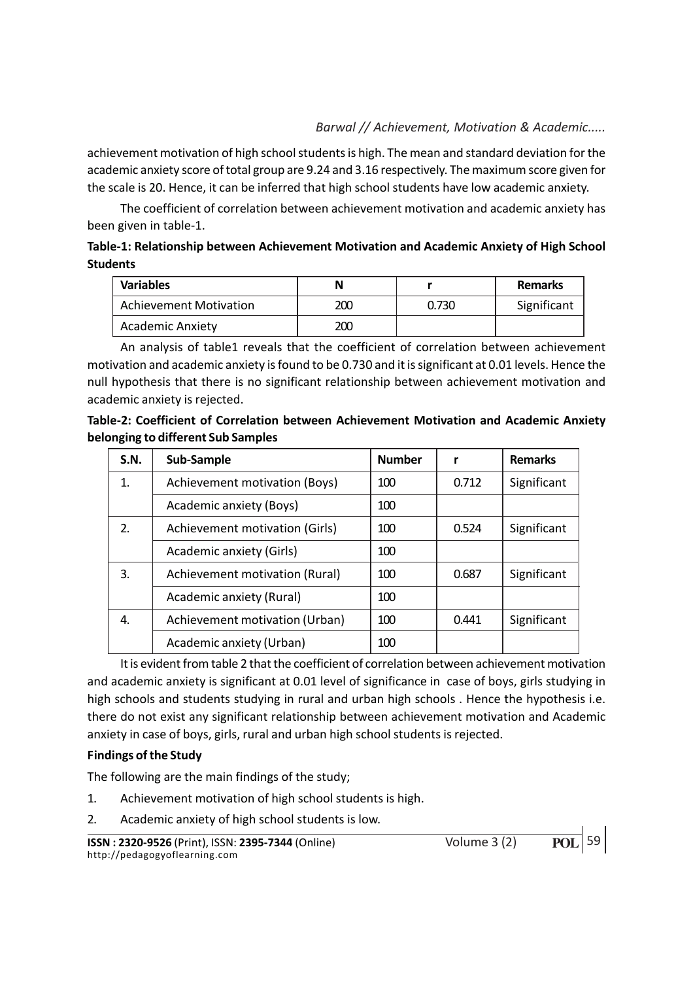achievement motivation of high school students is high. The mean and standard deviation for the academic anxiety score of total group are 9.24 and 3.16 respectively. The maximum score given for the scale is 20. Hence, it can be inferred that high school students have low academic anxiety.

The coefficient of correlation between achievement motivation and academic anxiety has been given in table-1.

# Table-1: Relationship between Achievement Motivation and Academic Anxiety of High School **Students**

| <b>Variables</b>              |     |       | <b>Remarks</b> |  |
|-------------------------------|-----|-------|----------------|--|
| <b>Achievement Motivation</b> | 200 | 0.730 | Significant    |  |
| <b>Academic Anxiety</b>       | 200 |       |                |  |

An analysis of table1 reveals that the coefficient of correlation between achievement motivation and academic anxiety is found to be 0.730 and it is significant at 0.01 levels. Hence the null hypothesis that there is no significant relationship between achievement motivation and academic anxiety is rejected.

| Table-2: Coefficient of Correlation between Achievement Motivation and Academic Anxiety |  |  |
|-----------------------------------------------------------------------------------------|--|--|
| belonging to different Sub Samples                                                      |  |  |

| S.N. | Sub-Sample                     | <b>Number</b> |       | <b>Remarks</b> |  |
|------|--------------------------------|---------------|-------|----------------|--|
| 1.   | Achievement motivation (Boys)  | 100           | 0.712 | Significant    |  |
|      | Academic anxiety (Boys)        | 100           |       |                |  |
| 2.   | Achievement motivation (Girls) | 100           | 0.524 | Significant    |  |
|      | Academic anxiety (Girls)       | 100           |       |                |  |
| 3.   | Achievement motivation (Rural) | 100           | 0.687 | Significant    |  |
|      | Academic anxiety (Rural)       | 100           |       |                |  |
| 4.   | Achievement motivation (Urban) | 100           | 0.441 | Significant    |  |
|      | Academic anxiety (Urban)       | 100           |       |                |  |

It is evident from table 2 that the coefficient of correlation between achievement motivation and academic anxiety is significant at 0.01 level of significance in case of boys, girls studying in high schools and students studying in rural and urban high schools . Hence the hypothesis i.e. there do not exist any significant relationship between achievement motivation and Academic anxiety in case of boys, girls, rural and urban high school students is rejected.

## Findings of the Study

The following are the main findings of the study;

- 1. Achievement motivation of high school students is high.
- 2. Academic anxiety of high school students is low.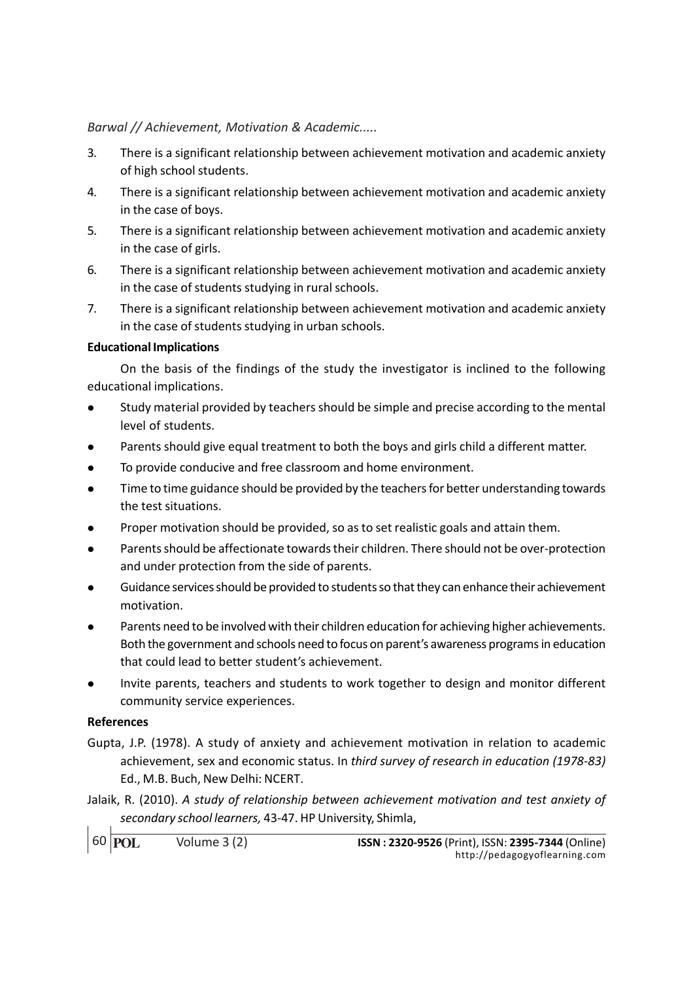- 3. There is a significant relationship between achievement motivation and academic anxiety of high school students.
- 4. There is a significant relationship between achievement motivation and academic anxiety in the case of boys.
- 5. There is a significant relationship between achievement motivation and academic anxiety in the case of girls.
- 6. There is a significant relationship between achievement motivation and academic anxiety in the case of students studying in rural schools.
- 7. There is a significant relationship between achievement motivation and academic anxiety in the case of students studying in urban schools.

#### Educational Implications

On the basis of the findings of the study the investigator is inclined to the following educational implications.

- <sup>l</sup> Study material provided by teachers should be simple and precise according to the mental level of students.
- Parents should give equal treatment to both the boys and girls child a different matter.
- To provide conducive and free classroom and home environment.
- <sup>l</sup> Time to time guidance should be provided by the teachers for better understanding towards the test situations.
- Proper motivation should be provided, so as to set realistic goals and attain them.
- <sup>l</sup> Parents should be affectionate towards their children. There should not be over-protection and under protection from the side of parents.
- <sup>l</sup> Guidance services should be provided to students so that they can enhance their achievement motivation.
- Parents need to be involved with their children education for achieving higher achievements. Both the government and schools need to focus on parent's awareness programs in education that could lead to better student's achievement.
- <sup>l</sup> Invite parents, teachers and students to work together to design and monitor different community service experiences.

## References

- Gupta, J.P. (1978). A study of anxiety and achievement motivation in relation to academic achievement, sex and economic status. In third survey of research in education (1978-83) Ed., M.B. Buch, New Delhi: NCERT.
- Jalaik, R. (2010). A study of relationship between achievement motivation and test anxiety of secondary school learners, 43-47. HP University, Shimla,

```
60 POL
```